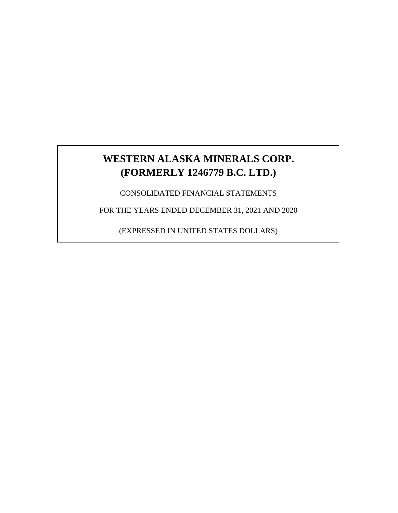CONSOLIDATED FINANCIAL STATEMENTS

FOR THE YEARS ENDED DECEMBER 31, 2021 AND 2020

(EXPRESSED IN UNITED STATES DOLLARS)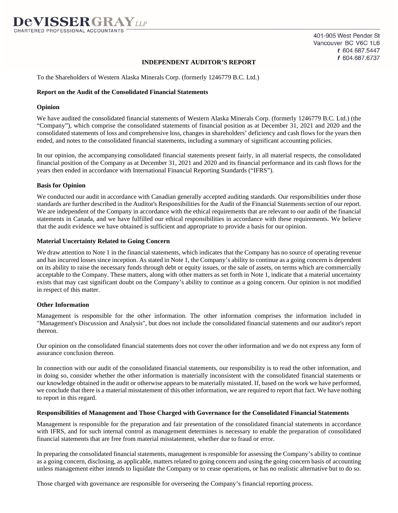#### **INDEPENDENT AUDITOR'S REPORT**

To the Shareholders of Western Alaska Minerals Corp. (formerly 1246779 B.C. Ltd.)

#### **Report on the Audit of the Consolidated Financial Statements**

#### **Opinion**

We have audited the consolidated financial statements of Western Alaska Minerals Corp. (formerly 1246779 B.C. Ltd.) (the "Company"), which comprise the consolidated statements of financial position as at December 31, 2021 and 2020 and the consolidated statements of loss and comprehensive loss, changes in shareholders' deficiency and cash flows for the years then ended, and notes to the consolidated financial statements, including a summary of significant accounting policies.

In our opinion, the accompanying consolidated financial statements present fairly, in all material respects, the consolidated financial position of the Company as at December 31, 2021 and 2020 and its financial performance and its cash flows for the years then ended in accordance with International Financial Reporting Standards ("IFRS").

#### **Basis for Opinion**

We conducted our audit in accordance with Canadian generally accepted auditing standards. Our responsibilities under those standards are further described in the Auditor's Responsibilities for the Audit of the Financial Statements section of our report. We are independent of the Company in accordance with the ethical requirements that are relevant to our audit of the financial statements in Canada, and we have fulfilled our ethical responsibilities in accordance with these requirements. We believe that the audit evidence we have obtained is sufficient and appropriate to provide a basis for our opinion.

#### **Material Uncertainty Related to Going Concern**

We draw attention to Note 1 in the financial statements, which indicates that the Company has no source of operating revenue and has incurred losses since inception. As stated in Note 1, the Company's ability to continue as a going concern is dependent on its ability to raise the necessary funds through debt or equity issues, or the sale of assets, on terms which are commercially acceptable to the Company. These matters, along with other matters as set forth in Note 1, indicate that a material uncertainty exists that may cast significant doubt on the Company's ability to continue as a going concern. Our opinion is not modified in respect of this matter.

#### **Other Information**

Management is responsible for the other information. The other information comprises the information included in "Management's Discussion and Analysis", but does not include the consolidated financial statements and our auditor's report thereon.

Our opinion on the consolidated financial statements does not cover the other information and we do not express any form of assurance conclusion thereon.

In connection with our audit of the consolidated financial statements, our responsibility is to read the other information, and in doing so, consider whether the other information is materially inconsistent with the consolidated financial statements or our knowledge obtained in the audit or otherwise appears to be materially misstated. If, based on the work we have performed, we conclude that there is a material misstatement of this other information, we are required to report that fact. We have nothing to report in this regard.

#### **Responsibilities of Management and Those Charged with Governance for the Consolidated Financial Statements**

Management is responsible for the preparation and fair presentation of the consolidated financial statements in accordance with IFRS, and for such internal control as management determines is necessary to enable the preparation of consolidated financial statements that are free from material misstatement, whether due to fraud or error.

In preparing the consolidated financial statements, management is responsible for assessing the Company's ability to continue as a going concern, disclosing, as applicable, matters related to going concern and using the going concern basis of accounting unless management either intends to liquidate the Company or to cease operations, or has no realistic alternative but to do so.

Those charged with governance are responsible for overseeing the Company's financial reporting process.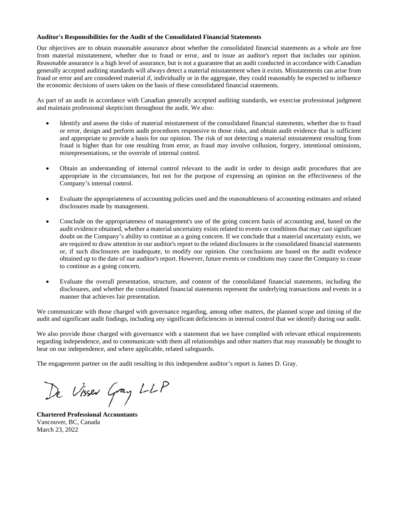#### **Auditor's Responsibilities for the Audit of the Consolidated Financial Statements**

Our objectives are to obtain reasonable assurance about whether the consolidated financial statements as a whole are free from material misstatement, whether due to fraud or error, and to issue an auditor's report that includes our opinion. Reasonable assurance is a high level of assurance, but is not a guarantee that an audit conducted in accordance with Canadian generally accepted auditing standards will always detect a material misstatement when it exists. Misstatements can arise from fraud or error and are considered material if, individually or in the aggregate, they could reasonably be expected to influence the economic decisions of users taken on the basis of these consolidated financial statements.

As part of an audit in accordance with Canadian generally accepted auditing standards, we exercise professional judgment and maintain professional skepticism throughout the audit. We also:

- Identify and assess the risks of material misstatement of the consolidated financial statements, whether due to fraud or error, design and perform audit procedures responsive to those risks, and obtain audit evidence that is sufficient and appropriate to provide a basis for our opinion. The risk of not detecting a material misstatement resulting from fraud is higher than for one resulting from error, as fraud may involve collusion, forgery, intentional omissions, misrepresentations, or the override of internal control.
- Obtain an understanding of internal control relevant to the audit in order to design audit procedures that are appropriate in the circumstances, but not for the purpose of expressing an opinion on the effectiveness of the Company's internal control.
- Evaluate the appropriateness of accounting policies used and the reasonableness of accounting estimates and related disclosures made by management.
- Conclude on the appropriateness of management's use of the going concern basis of accounting and, based on the audit evidence obtained, whether a material uncertainty exists related to events or conditions that may cast significant doubt on the Company's ability to continue as a going concern. If we conclude that a material uncertainty exists, we are required to draw attention in our auditor's report to the related disclosures in the consolidated financial statements or, if such disclosures are inadequate, to modify our opinion. Our conclusions are based on the audit evidence obtained up to the date of our auditor's report. However, future events or conditions may cause the Company to cease to continue as a going concern.
- Evaluate the overall presentation, structure, and content of the consolidated financial statements, including the disclosures, and whether the consolidated financial statements represent the underlying transactions and events in a manner that achieves fair presentation.

We communicate with those charged with governance regarding, among other matters, the planned scope and timing of the audit and significant audit findings, including any significant deficiencies in internal control that we identify during our audit.

We also provide those charged with governance with a statement that we have complied with relevant ethical requirements regarding independence, and to communicate with them all relationships and other matters that may reasonably be thought to bear on our independence, and where applicable, related safeguards.

The engagement partner on the audit resulting in this independent auditor's report is James D. Gray.

De Visser Gray LLP

**Chartered Professional Accountants**  Vancouver, BC, Canada March 23, 2022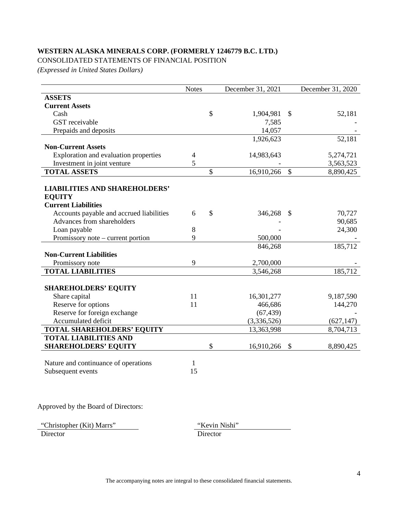CONSOLIDATED STATEMENTS OF FINANCIAL POSITION

*(Expressed in United States Dollars)* 

|                                          | <b>Notes</b>   | December 31, 2021 |               | December 31, 2020 |
|------------------------------------------|----------------|-------------------|---------------|-------------------|
| <b>ASSETS</b>                            |                |                   |               |                   |
| <b>Current Assets</b>                    |                |                   |               |                   |
| Cash                                     |                | \$<br>1,904,981   | \$            | 52,181            |
| GST receivable                           |                | 7,585             |               |                   |
| Prepaids and deposits                    |                | 14,057            |               |                   |
|                                          |                | 1,926,623         |               | 52,181            |
| <b>Non-Current Assets</b>                |                |                   |               |                   |
| Exploration and evaluation properties    | $\overline{4}$ | 14,983,643        |               | 5,274,721         |
| Investment in joint venture              | 5              |                   |               | 3,563,523         |
| <b>TOTAL ASSETS</b>                      |                | \$<br>16,910,266  | $\mathcal{S}$ | 8,890,425         |
|                                          |                |                   |               |                   |
| <b>LIABILITIES AND SHAREHOLDERS'</b>     |                |                   |               |                   |
| <b>EQUITY</b>                            |                |                   |               |                   |
| <b>Current Liabilities</b>               |                |                   |               |                   |
| Accounts payable and accrued liabilities | 6              | \$<br>346,268     | $\mathcal{S}$ | 70,727            |
| Advances from shareholders               |                |                   |               | 90,685            |
| Loan payable                             | 8              |                   |               | 24,300            |
| Promissory note – current portion        | 9              | 500,000           |               |                   |
|                                          |                | 846,268           |               | 185,712           |
| <b>Non-Current Liabilities</b>           |                |                   |               |                   |
| Promissory note                          | 9              | 2,700,000         |               |                   |
| <b>TOTAL LIABILITIES</b>                 |                | 3,546,268         |               | 185,712           |
|                                          |                |                   |               |                   |
| <b>SHAREHOLDERS' EQUITY</b>              |                |                   |               |                   |
| Share capital                            | 11             | 16,301,277        |               | 9,187,590         |
| Reserve for options                      | 11             | 466,686           |               | 144,270           |
| Reserve for foreign exchange             |                | (67, 439)         |               |                   |
| Accumulated deficit                      |                | (3,336,526)       |               | (627, 147)        |
| <b>TOTAL SHAREHOLDERS' EQUITY</b>        |                | 13,363,998        |               | 8,704,713         |
| <b>TOTAL LIABILITIES AND</b>             |                |                   |               |                   |
| <b>SHAREHOLDERS' EQUITY</b>              |                | \$<br>16,910,266  | \$            | 8,890,425         |
|                                          |                |                   |               |                   |
| Nature and continuance of operations     | 1              |                   |               |                   |
| Subsequent events                        | 15             |                   |               |                   |
|                                          |                |                   |               |                   |
|                                          |                |                   |               |                   |

Approved by the Board of Directors:

"Christopher (Kit) Marrs" "Kevin Nishi"

Director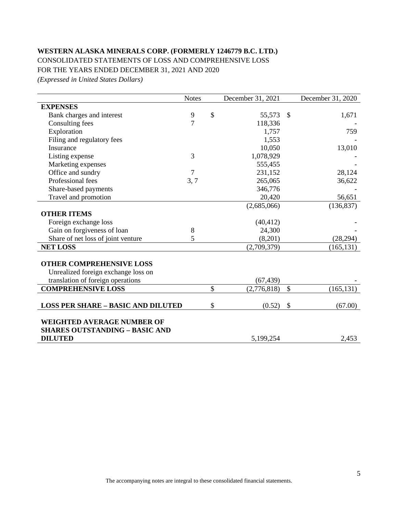CONSOLIDATED STATEMENTS OF LOSS AND COMPREHENSIVE LOSS

FOR THE YEARS ENDED DECEMBER 31, 2021 AND 2020

*(Expressed in United States Dollars)* 

|                                           | <b>Notes</b> | December 31, 2021 |               | December 31, 2020 |
|-------------------------------------------|--------------|-------------------|---------------|-------------------|
| <b>EXPENSES</b>                           |              |                   |               |                   |
| Bank charges and interest                 | 9            | \$<br>55,573      | $\mathcal{S}$ | 1,671             |
| Consulting fees                           | 7            | 118,336           |               |                   |
| Exploration                               |              | 1,757             |               | 759               |
| Filing and regulatory fees                |              | 1,553             |               |                   |
| Insurance                                 |              | 10,050            |               | 13,010            |
| Listing expense                           | 3            | 1,078,929         |               |                   |
| Marketing expenses                        |              | 555,455           |               |                   |
| Office and sundry                         | 7            | 231,152           |               | 28,124            |
| Professional fees                         | 3, 7         | 265,065           |               | 36,622            |
| Share-based payments                      |              | 346,776           |               |                   |
| Travel and promotion                      |              | 20,420            |               | 56,651            |
|                                           |              | (2,685,066)       |               | (136, 837)        |
| <b>OTHER ITEMS</b>                        |              |                   |               |                   |
| Foreign exchange loss                     |              | (40, 412)         |               |                   |
| Gain on forgiveness of loan               | 8            | 24,300            |               |                   |
| Share of net loss of joint venture        | 5            | (8,201)           |               | (28, 294)         |
| <b>NET LOSS</b>                           |              | (2,709,379)       |               | (165, 131)        |
|                                           |              |                   |               |                   |
| <b>OTHER COMPREHENSIVE LOSS</b>           |              |                   |               |                   |
| Unrealized foreign exchange loss on       |              |                   |               |                   |
| translation of foreign operations         |              | (67, 439)         |               |                   |
| <b>COMPREHENSIVE LOSS</b>                 |              | \$<br>(2,776,818) | \$            | (165, 131)        |
|                                           |              |                   |               |                   |
| <b>LOSS PER SHARE - BASIC AND DILUTED</b> |              | \$<br>(0.52)      | \$            | (67.00)           |
|                                           |              |                   |               |                   |
| <b>WEIGHTED AVERAGE NUMBER OF</b>         |              |                   |               |                   |
| <b>SHARES OUTSTANDING - BASIC AND</b>     |              |                   |               |                   |
| <b>DILUTED</b>                            |              | 5,199,254         |               | 2,453             |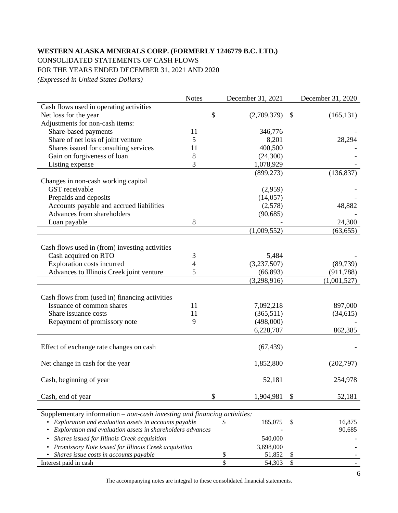CONSOLIDATED STATEMENTS OF CASH FLOWS

FOR THE YEARS ENDED DECEMBER 31, 2021 AND 2020

*(Expressed in United States Dollars)* 

|                                                                                                                          | <b>Notes</b>             | December 31, 2021 |               | December 31, 2020 |
|--------------------------------------------------------------------------------------------------------------------------|--------------------------|-------------------|---------------|-------------------|
| Cash flows used in operating activities                                                                                  |                          |                   |               |                   |
| Net loss for the year                                                                                                    |                          | \$<br>(2,709,379) | $\mathcal{S}$ | (165, 131)        |
| Adjustments for non-cash items:                                                                                          |                          |                   |               |                   |
| Share-based payments                                                                                                     | 11                       | 346,776           |               |                   |
| Share of net loss of joint venture                                                                                       | 5                        | 8,201             |               | 28,294            |
| Shares issued for consulting services                                                                                    | 11                       | 400,500           |               |                   |
| Gain on forgiveness of loan                                                                                              | 8                        | (24,300)          |               |                   |
| Listing expense                                                                                                          | 3                        | 1,078,929         |               |                   |
|                                                                                                                          |                          | (899, 273)        |               | (136, 837)        |
| Changes in non-cash working capital                                                                                      |                          |                   |               |                   |
| GST receivable                                                                                                           |                          | (2,959)           |               |                   |
| Prepaids and deposits                                                                                                    |                          | (14,057)          |               |                   |
| Accounts payable and accrued liabilities                                                                                 |                          | (2,578)           |               | 48,882            |
| Advances from shareholders                                                                                               |                          | (90, 685)         |               |                   |
| Loan payable                                                                                                             | 8                        |                   |               | 24,300            |
|                                                                                                                          |                          | (1,009,552)       |               | (63, 655)         |
|                                                                                                                          |                          |                   |               |                   |
| Cash flows used in (from) investing activities                                                                           |                          |                   |               |                   |
| Cash acquired on RTO                                                                                                     | 3                        | 5,484             |               |                   |
| Exploration costs incurred                                                                                               | $\overline{\mathcal{L}}$ | (3,237,507)       |               | (89, 739)         |
| Advances to Illinois Creek joint venture                                                                                 | 5                        | (66, 893)         |               | (911, 788)        |
|                                                                                                                          |                          | (3,298,916)       |               | (1,001,527)       |
|                                                                                                                          |                          |                   |               |                   |
| Cash flows from (used in) financing activities                                                                           |                          |                   |               |                   |
| Issuance of common shares                                                                                                | 11                       | 7,092,218         |               | 897,000           |
| Share issuance costs                                                                                                     | 11                       | (365, 511)        |               | (34, 615)         |
| Repayment of promissory note                                                                                             | 9                        | (498,000)         |               |                   |
|                                                                                                                          |                          | 6,228,707         |               | 862,385           |
|                                                                                                                          |                          |                   |               |                   |
| Effect of exchange rate changes on cash                                                                                  |                          | (67, 439)         |               |                   |
|                                                                                                                          |                          |                   |               |                   |
| Net change in cash for the year                                                                                          |                          | 1,852,800         |               | (202,797)         |
|                                                                                                                          |                          |                   |               |                   |
| Cash, beginning of year                                                                                                  |                          | 52,181            |               | 254,978           |
|                                                                                                                          |                          |                   |               |                   |
| Cash, end of year                                                                                                        |                          | \$<br>1,904,981   |               | 52,181            |
|                                                                                                                          |                          |                   |               |                   |
| Supplementary information $-$ non-cash investing and financing activities:                                               |                          |                   |               |                   |
| Exploration and evaluation assets in accounts payable<br>٠<br>Exploration and evaluation assets in shareholders advances |                          | \$<br>185,075     | S             | 16,875<br>90,685  |
| Shares issued for Illinois Creek acquisition                                                                             |                          | 540,000           |               |                   |
| Promissory Note issued for Illinois Creek acquisition<br>$\bullet$                                                       |                          | 3,698,000         |               |                   |
| Shares issue costs in accounts payable                                                                                   |                          | \$<br>51,852      |               |                   |
| Interest paid in cash                                                                                                    |                          | \$<br>54,303      | \$            |                   |

The accompanying notes are integral to these consolidated financial statements.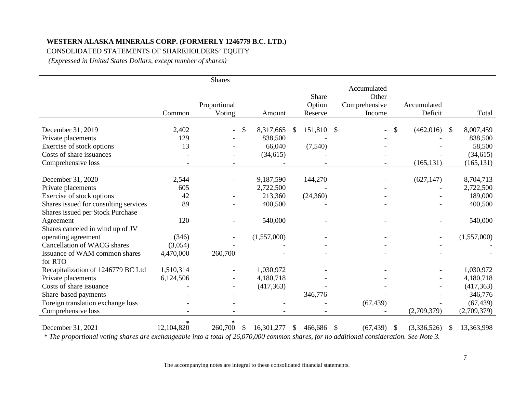CONSOLIDATED STATEMENTS OF SHAREHOLDERS' EQUITY

 *(Expressed in United States Dollars, except number of shares)* 

|                                       |            | <b>Shares</b> |                             |              |            |                                        |                   |               |             |
|---------------------------------------|------------|---------------|-----------------------------|--------------|------------|----------------------------------------|-------------------|---------------|-------------|
|                                       |            |               |                             |              | Share      | Accumulated<br>Other                   |                   |               |             |
|                                       |            | Proportional  |                             |              | Option     | Comprehensive                          | Accumulated       |               |             |
|                                       | Common     | Voting        | Amount                      |              | Reserve    | Income                                 | Deficit           |               | Total       |
| December 31, 2019                     | 2,402      |               | 8,317,665                   | <sup>S</sup> | 151,810 \$ |                                        | \$<br>(462,016)   | <sup>\$</sup> | 8,007,459   |
| Private placements                    | 129        |               | 838,500                     |              |            |                                        |                   |               | 838,500     |
| Exercise of stock options             | 13         |               | 66,040                      |              | (7,540)    |                                        |                   |               | 58,500      |
| Costs of share issuances              |            |               | (34, 615)                   |              |            |                                        |                   |               | (34, 615)   |
| Comprehensive loss                    |            |               |                             |              |            |                                        | (165, 131)        |               | (165, 131)  |
|                                       |            |               |                             |              |            |                                        |                   |               |             |
| December 31, 2020                     | 2,544      |               | 9,187,590                   |              | 144,270    |                                        | (627, 147)        |               | 8,704,713   |
| Private placements                    | 605        |               | 2,722,500                   |              |            |                                        |                   |               | 2,722,500   |
| Exercise of stock options             | 42         |               | 213,360                     |              | (24,360)   |                                        |                   |               | 189,000     |
| Shares issued for consulting services | 89         |               | 400,500                     |              |            |                                        |                   |               | 400,500     |
| Shares issued per Stock Purchase      |            |               |                             |              |            |                                        |                   |               |             |
| Agreement                             | 120        |               | 540,000                     |              |            |                                        |                   |               | 540,000     |
| Shares canceled in wind up of JV      |            |               |                             |              |            |                                        |                   |               |             |
| operating agreement                   | (346)      |               | (1,557,000)                 |              |            |                                        |                   |               | (1,557,000) |
| Cancellation of WACG shares           | (3,054)    |               |                             |              |            |                                        |                   |               |             |
| Issuance of WAM common shares         | 4,470,000  | 260,700       |                             |              |            |                                        |                   |               |             |
| for RTO                               |            |               |                             |              |            |                                        |                   |               |             |
| Recapitalization of 1246779 BC Ltd    | 1,510,314  |               | 1,030,972                   |              |            |                                        |                   |               | 1,030,972   |
| Private placements                    | 6,124,506  |               | 4,180,718                   |              |            |                                        |                   |               | 4,180,718   |
| Costs of share issuance               |            |               | (417, 363)                  |              |            |                                        |                   |               | (417, 363)  |
| Share-based payments                  |            |               |                             |              | 346,776    |                                        |                   |               | 346,776     |
| Foreign translation exchange loss     |            |               |                             |              |            | (67, 439)                              |                   |               | (67, 439)   |
| Comprehensive loss                    |            |               |                             |              |            |                                        | (2,709,379)       |               | (2,709,379) |
|                                       |            |               |                             |              |            |                                        |                   |               |             |
| December 31, 2021                     | 12,104,820 | 260,700       | 16,301,277<br>$\mathcal{S}$ | \$           | 466,686    | (67, 439)<br>$\boldsymbol{\mathsf{S}}$ | \$<br>(3,336,526) | S.            | 13,363,998  |

*\* The proportional voting shares are exchangeable into a total of 26,070,000 common shares, for no additional consideration. See Note 3.*

The accompanying notes are integral to these consolidated financial statements.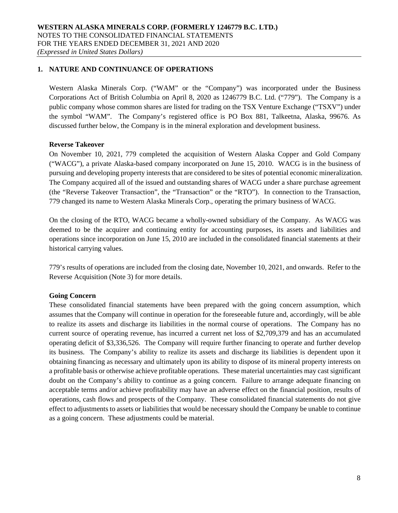# **1. NATURE AND CONTINUANCE OF OPERATIONS**

Western Alaska Minerals Corp. ("WAM" or the "Company") was incorporated under the Business Corporations Act of British Columbia on April 8, 2020 as 1246779 B.C. Ltd. ("779"). The Company is a public company whose common shares are listed for trading on the TSX Venture Exchange ("TSXV") under the symbol "WAM". The Company's registered office is PO Box 881, Talkeetna, Alaska, 99676. As discussed further below, the Company is in the mineral exploration and development business.

#### **Reverse Takeover**

On November 10, 2021, 779 completed the acquisition of Western Alaska Copper and Gold Company ("WACG"), a private Alaska-based company incorporated on June 15, 2010. WACG is in the business of pursuing and developing property interests that are considered to be sites of potential economic mineralization. The Company acquired all of the issued and outstanding shares of WACG under a share purchase agreement (the "Reverse Takeover Transaction", the "Transaction" or the "RTO"). In connection to the Transaction, 779 changed its name to Western Alaska Minerals Corp., operating the primary business of WACG.

On the closing of the RTO, WACG became a wholly-owned subsidiary of the Company. As WACG was deemed to be the acquirer and continuing entity for accounting purposes, its assets and liabilities and operations since incorporation on June 15, 2010 are included in the consolidated financial statements at their historical carrying values.

779's results of operations are included from the closing date, November 10, 2021, and onwards. Refer to the Reverse Acquisition (Note 3) for more details.

# **Going Concern**

These consolidated financial statements have been prepared with the going concern assumption, which assumes that the Company will continue in operation for the foreseeable future and, accordingly, will be able to realize its assets and discharge its liabilities in the normal course of operations. The Company has no current source of operating revenue, has incurred a current net loss of \$2,709,379 and has an accumulated operating deficit of \$3,336,526. The Company will require further financing to operate and further develop its business. The Company's ability to realize its assets and discharge its liabilities is dependent upon it obtaining financing as necessary and ultimately upon its ability to dispose of its mineral property interests on a profitable basis or otherwise achieve profitable operations. These material uncertainties may cast significant doubt on the Company's ability to continue as a going concern. Failure to arrange adequate financing on acceptable terms and/or achieve profitability may have an adverse effect on the financial position, results of operations, cash flows and prospects of the Company. These consolidated financial statements do not give effect to adjustments to assets or liabilities that would be necessary should the Company be unable to continue as a going concern. These adjustments could be material.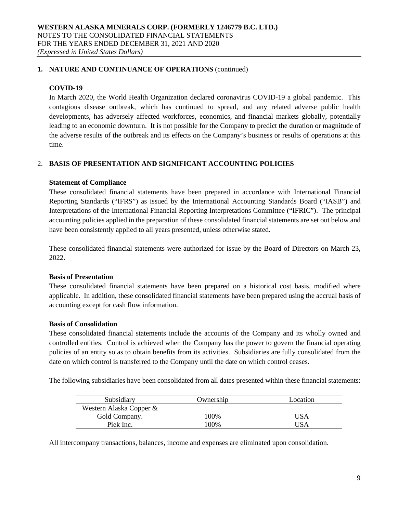# **1. NATURE AND CONTINUANCE OF OPERATIONS** (continued)

# **COVID-19**

In March 2020, the World Health Organization declared coronavirus COVID-19 a global pandemic. This contagious disease outbreak, which has continued to spread, and any related adverse public health developments, has adversely affected workforces, economics, and financial markets globally, potentially leading to an economic downturn. It is not possible for the Company to predict the duration or magnitude of the adverse results of the outbreak and its effects on the Company's business or results of operations at this time.

# 2. **BASIS OF PRESENTATION AND SIGNIFICANT ACCOUNTING POLICIES**

# **Statement of Compliance**

These consolidated financial statements have been prepared in accordance with International Financial Reporting Standards ("IFRS") as issued by the International Accounting Standards Board ("IASB") and Interpretations of the International Financial Reporting Interpretations Committee ("IFRIC"). The principal accounting policies applied in the preparation of these consolidated financial statements are set out below and have been consistently applied to all years presented, unless otherwise stated.

These consolidated financial statements were authorized for issue by the Board of Directors on March 23, 2022.

# **Basis of Presentation**

These consolidated financial statements have been prepared on a historical cost basis, modified where applicable. In addition, these consolidated financial statements have been prepared using the accrual basis of accounting except for cash flow information.

# **Basis of Consolidation**

These consolidated financial statements include the accounts of the Company and its wholly owned and controlled entities. Control is achieved when the Company has the power to govern the financial operating policies of an entity so as to obtain benefits from its activities. Subsidiaries are fully consolidated from the date on which control is transferred to the Company until the date on which control ceases.

The following subsidiaries have been consolidated from all dates presented within these financial statements:

| Subsidiary              | Ownership | Location   |
|-------------------------|-----------|------------|
| Western Alaska Copper & |           |            |
| Gold Company.           | 100%      | <b>USA</b> |
| Piek Inc.               | 100%      | USA        |

All intercompany transactions, balances, income and expenses are eliminated upon consolidation.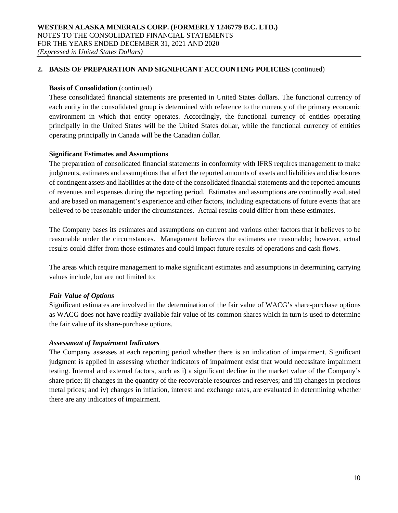# **Basis of Consolidation** (continued)

These consolidated financial statements are presented in United States dollars. The functional currency of each entity in the consolidated group is determined with reference to the currency of the primary economic environment in which that entity operates. Accordingly, the functional currency of entities operating principally in the United States will be the United States dollar, while the functional currency of entities operating principally in Canada will be the Canadian dollar.

# **Significant Estimates and Assumptions**

The preparation of consolidated financial statements in conformity with IFRS requires management to make judgments, estimates and assumptions that affect the reported amounts of assets and liabilities and disclosures of contingent assets and liabilities at the date of the consolidated financial statements and the reported amounts of revenues and expenses during the reporting period. Estimates and assumptions are continually evaluated and are based on management's experience and other factors, including expectations of future events that are believed to be reasonable under the circumstances. Actual results could differ from these estimates.

The Company bases its estimates and assumptions on current and various other factors that it believes to be reasonable under the circumstances. Management believes the estimates are reasonable; however, actual results could differ from those estimates and could impact future results of operations and cash flows.

The areas which require management to make significant estimates and assumptions in determining carrying values include, but are not limited to:

# *Fair Value of Options*

Significant estimates are involved in the determination of the fair value of WACG's share-purchase options as WACG does not have readily available fair value of its common shares which in turn is used to determine the fair value of its share-purchase options.

# *Assessment of Impairment Indicators*

The Company assesses at each reporting period whether there is an indication of impairment. Significant judgment is applied in assessing whether indicators of impairment exist that would necessitate impairment testing. Internal and external factors, such as i) a significant decline in the market value of the Company's share price; ii) changes in the quantity of the recoverable resources and reserves; and iii) changes in precious metal prices; and iv) changes in inflation, interest and exchange rates, are evaluated in determining whether there are any indicators of impairment.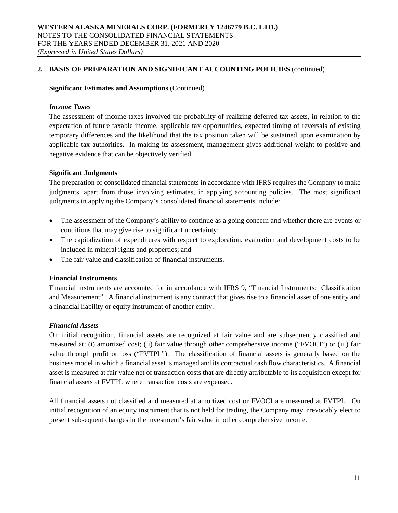### **Significant Estimates and Assumptions** (Continued)

#### *Income Taxes*

The assessment of income taxes involved the probability of realizing deferred tax assets, in relation to the expectation of future taxable income, applicable tax opportunities, expected timing of reversals of existing temporary differences and the likelihood that the tax position taken will be sustained upon examination by applicable tax authorities. In making its assessment, management gives additional weight to positive and negative evidence that can be objectively verified.

#### **Significant Judgments**

The preparation of consolidated financial statements in accordance with IFRS requires the Company to make judgments, apart from those involving estimates, in applying accounting policies. The most significant judgments in applying the Company's consolidated financial statements include:

- The assessment of the Company's ability to continue as a going concern and whether there are events or conditions that may give rise to significant uncertainty;
- The capitalization of expenditures with respect to exploration, evaluation and development costs to be included in mineral rights and properties; and
- The fair value and classification of financial instruments.

# **Financial Instruments**

Financial instruments are accounted for in accordance with IFRS 9, "Financial Instruments: Classification and Measurement". A financial instrument is any contract that gives rise to a financial asset of one entity and a financial liability or equity instrument of another entity.

# *Financial Assets*

On initial recognition, financial assets are recognized at fair value and are subsequently classified and measured at: (i) amortized cost; (ii) fair value through other comprehensive income ("FVOCI") or (iii) fair value through profit or loss ("FVTPL"). The classification of financial assets is generally based on the business model in which a financial asset is managed and its contractual cash flow characteristics. A financial asset is measured at fair value net of transaction costs that are directly attributable to its acquisition except for financial assets at FVTPL where transaction costs are expensed.

All financial assets not classified and measured at amortized cost or FVOCI are measured at FVTPL. On initial recognition of an equity instrument that is not held for trading, the Company may irrevocably elect to present subsequent changes in the investment's fair value in other comprehensive income.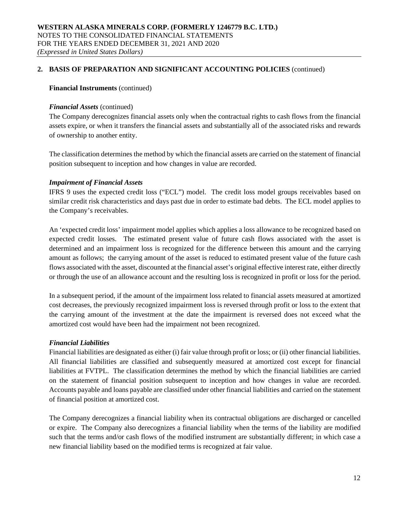### **Financial Instruments** (continued)

#### *Financial Assets* (continued)

The Company derecognizes financial assets only when the contractual rights to cash flows from the financial assets expire, or when it transfers the financial assets and substantially all of the associated risks and rewards of ownership to another entity.

The classification determines the method by which the financial assets are carried on the statement of financial position subsequent to inception and how changes in value are recorded.

#### *Impairment of Financial Assets*

IFRS 9 uses the expected credit loss ("ECL") model. The credit loss model groups receivables based on similar credit risk characteristics and days past due in order to estimate bad debts. The ECL model applies to the Company's receivables.

An 'expected credit loss' impairment model applies which applies a loss allowance to be recognized based on expected credit losses. The estimated present value of future cash flows associated with the asset is determined and an impairment loss is recognized for the difference between this amount and the carrying amount as follows; the carrying amount of the asset is reduced to estimated present value of the future cash flows associated with the asset, discounted at the financial asset's original effective interest rate, either directly or through the use of an allowance account and the resulting loss is recognized in profit or loss for the period.

In a subsequent period, if the amount of the impairment loss related to financial assets measured at amortized cost decreases, the previously recognized impairment loss is reversed through profit or loss to the extent that the carrying amount of the investment at the date the impairment is reversed does not exceed what the amortized cost would have been had the impairment not been recognized.

# *Financial Liabilities*

Financial liabilities are designated as either (i) fair value through profit or loss; or (ii) other financial liabilities. All financial liabilities are classified and subsequently measured at amortized cost except for financial liabilities at FVTPL. The classification determines the method by which the financial liabilities are carried on the statement of financial position subsequent to inception and how changes in value are recorded. Accounts payable and loans payable are classified under other financial liabilities and carried on the statement of financial position at amortized cost.

The Company derecognizes a financial liability when its contractual obligations are discharged or cancelled or expire. The Company also derecognizes a financial liability when the terms of the liability are modified such that the terms and/or cash flows of the modified instrument are substantially different; in which case a new financial liability based on the modified terms is recognized at fair value.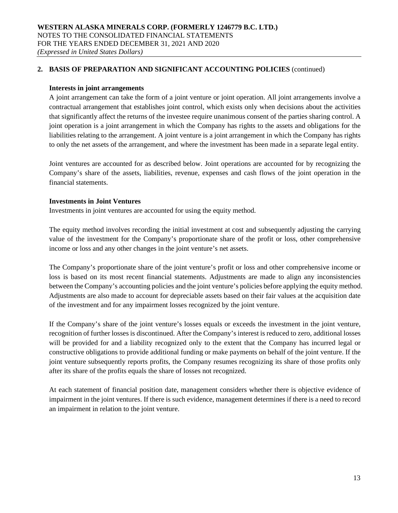#### **Interests in joint arrangements**

A joint arrangement can take the form of a joint venture or joint operation. All joint arrangements involve a contractual arrangement that establishes joint control, which exists only when decisions about the activities that significantly affect the returns of the investee require unanimous consent of the parties sharing control. A joint operation is a joint arrangement in which the Company has rights to the assets and obligations for the liabilities relating to the arrangement. A joint venture is a joint arrangement in which the Company has rights to only the net assets of the arrangement, and where the investment has been made in a separate legal entity.

Joint ventures are accounted for as described below. Joint operations are accounted for by recognizing the Company's share of the assets, liabilities, revenue, expenses and cash flows of the joint operation in the financial statements.

# **Investments in Joint Ventures**

Investments in joint ventures are accounted for using the equity method.

The equity method involves recording the initial investment at cost and subsequently adjusting the carrying value of the investment for the Company's proportionate share of the profit or loss, other comprehensive income or loss and any other changes in the joint venture's net assets.

The Company's proportionate share of the joint venture's profit or loss and other comprehensive income or loss is based on its most recent financial statements. Adjustments are made to align any inconsistencies between the Company's accounting policies and the joint venture's policies before applying the equity method. Adjustments are also made to account for depreciable assets based on their fair values at the acquisition date of the investment and for any impairment losses recognized by the joint venture.

If the Company's share of the joint venture's losses equals or exceeds the investment in the joint venture, recognition of further losses is discontinued. After the Company's interest is reduced to zero, additional losses will be provided for and a liability recognized only to the extent that the Company has incurred legal or constructive obligations to provide additional funding or make payments on behalf of the joint venture. If the joint venture subsequently reports profits, the Company resumes recognizing its share of those profits only after its share of the profits equals the share of losses not recognized.

At each statement of financial position date, management considers whether there is objective evidence of impairment in the joint ventures. If there is such evidence, management determines if there is a need to record an impairment in relation to the joint venture.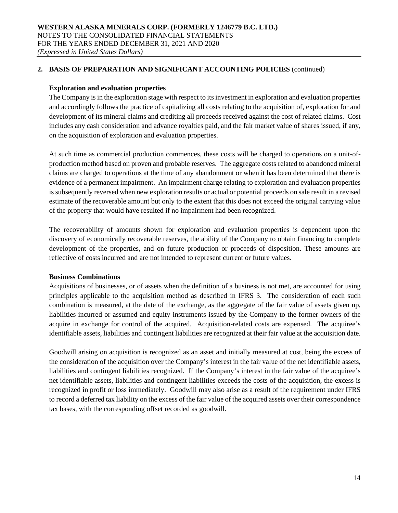# **Exploration and evaluation properties**

The Company is in the exploration stage with respect to its investment in exploration and evaluation properties and accordingly follows the practice of capitalizing all costs relating to the acquisition of, exploration for and development of its mineral claims and crediting all proceeds received against the cost of related claims. Cost includes any cash consideration and advance royalties paid, and the fair market value of shares issued, if any, on the acquisition of exploration and evaluation properties.

At such time as commercial production commences, these costs will be charged to operations on a unit-ofproduction method based on proven and probable reserves. The aggregate costs related to abandoned mineral claims are charged to operations at the time of any abandonment or when it has been determined that there is evidence of a permanent impairment. An impairment charge relating to exploration and evaluation properties is subsequently reversed when new exploration results or actual or potential proceeds on sale result in a revised estimate of the recoverable amount but only to the extent that this does not exceed the original carrying value of the property that would have resulted if no impairment had been recognized.

The recoverability of amounts shown for exploration and evaluation properties is dependent upon the discovery of economically recoverable reserves, the ability of the Company to obtain financing to complete development of the properties, and on future production or proceeds of disposition. These amounts are reflective of costs incurred and are not intended to represent current or future values.

# **Business Combinations**

Acquisitions of businesses, or of assets when the definition of a business is not met, are accounted for using principles applicable to the acquisition method as described in IFRS 3. The consideration of each such combination is measured, at the date of the exchange, as the aggregate of the fair value of assets given up, liabilities incurred or assumed and equity instruments issued by the Company to the former owners of the acquire in exchange for control of the acquired. Acquisition-related costs are expensed. The acquiree's identifiable assets, liabilities and contingent liabilities are recognized at their fair value at the acquisition date.

Goodwill arising on acquisition is recognized as an asset and initially measured at cost, being the excess of the consideration of the acquisition over the Company's interest in the fair value of the net identifiable assets, liabilities and contingent liabilities recognized. If the Company's interest in the fair value of the acquiree's net identifiable assets, liabilities and contingent liabilities exceeds the costs of the acquisition, the excess is recognized in profit or loss immediately. Goodwill may also arise as a result of the requirement under IFRS to record a deferred tax liability on the excess of the fair value of the acquired assets over their correspondence tax bases, with the corresponding offset recorded as goodwill.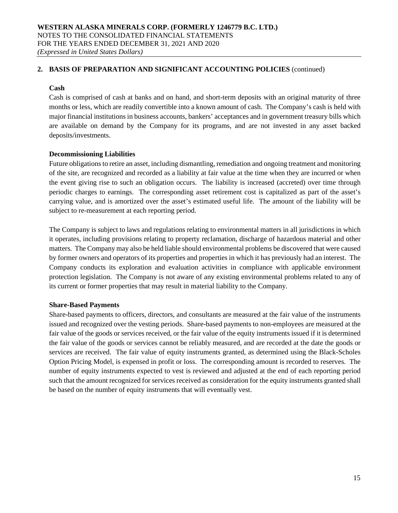# **Cash**

Cash is comprised of cash at banks and on hand, and short-term deposits with an original maturity of three months or less, which are readily convertible into a known amount of cash. The Company's cash is held with major financial institutions in business accounts, bankers' acceptances and in government treasury bills which are available on demand by the Company for its programs, and are not invested in any asset backed deposits/investments.

# **Decommissioning Liabilities**

Future obligations to retire an asset, including dismantling, remediation and ongoing treatment and monitoring of the site, are recognized and recorded as a liability at fair value at the time when they are incurred or when the event giving rise to such an obligation occurs. The liability is increased (accreted) over time through periodic charges to earnings. The corresponding asset retirement cost is capitalized as part of the asset's carrying value, and is amortized over the asset's estimated useful life. The amount of the liability will be subject to re-measurement at each reporting period.

The Company is subject to laws and regulations relating to environmental matters in all jurisdictions in which it operates, including provisions relating to property reclamation, discharge of hazardous material and other matters. The Company may also be held liable should environmental problems be discovered that were caused by former owners and operators of its properties and properties in which it has previously had an interest. The Company conducts its exploration and evaluation activities in compliance with applicable environment protection legislation. The Company is not aware of any existing environmental problems related to any of its current or former properties that may result in material liability to the Company.

# **Share-Based Payments**

Share-based payments to officers, directors, and consultants are measured at the fair value of the instruments issued and recognized over the vesting periods. Share-based payments to non-employees are measured at the fair value of the goods or services received, or the fair value of the equity instruments issued if it is determined the fair value of the goods or services cannot be reliably measured, and are recorded at the date the goods or services are received. The fair value of equity instruments granted, as determined using the Black-Scholes Option Pricing Model, is expensed in profit or loss. The corresponding amount is recorded to reserves. The number of equity instruments expected to vest is reviewed and adjusted at the end of each reporting period such that the amount recognized for services received as consideration for the equity instruments granted shall be based on the number of equity instruments that will eventually vest.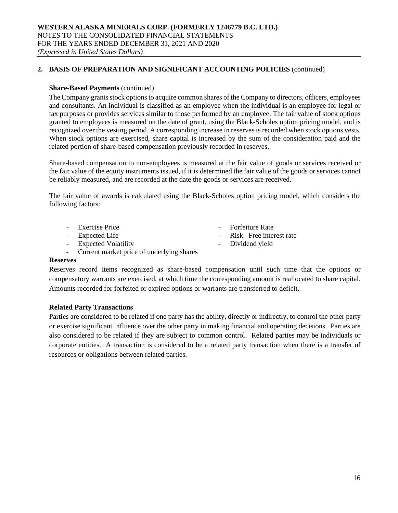# **Share-Based Payments** (continued)

The Company grants stock options to acquire common shares of the Company to directors, officers, employees and consultants. An individual is classified as an employee when the individual is an employee for legal or tax purposes or provides services similar to those performed by an employee. The fair value of stock options granted to employees is measured on the date of grant, using the Black-Scholes option pricing model, and is recognized over the vesting period. A corresponding increase in reserves is recorded when stock options vests. When stock options are exercised, share capital is increased by the sum of the consideration paid and the related portion of share-based compensation previously recorded in reserves.

Share-based compensation to non-employees is measured at the fair value of goods or services received or the fair value of the equity instruments issued, if it is determined the fair value of the goods or services cannot be reliably measured, and are recorded at the date the goods or services are received.

The fair value of awards is calculated using the Black-Scholes option pricing model, which considers the following factors:

| - Exercise Price      | - Forfeiture Rate           |
|-----------------------|-----------------------------|
| - Expected Life       | - Risk – Free interest rate |
| - Expected Volatility | - Dividend yield            |

# - Current market price of underlying shares

#### **Reserves**

Reserves record items recognized as share-based compensation until such time that the options or compensatory warrants are exercised, at which time the corresponding amount is reallocated to share capital. Amounts recorded for forfeited or expired options or warrants are transferred to deficit.

# **Related Party Transactions**

Parties are considered to be related if one party has the ability, directly or indirectly, to control the other party or exercise significant influence over the other party in making financial and operating decisions. Parties are also considered to be related if they are subject to common control. Related parties may be individuals or corporate entities. A transaction is considered to be a related party transaction when there is a transfer of resources or obligations between related parties.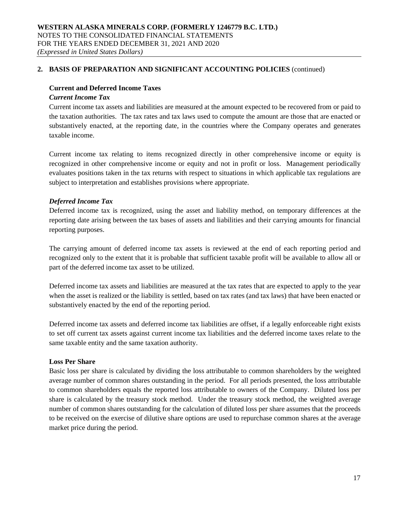# **Current and Deferred Income Taxes**

# *Current Income Tax*

Current income tax assets and liabilities are measured at the amount expected to be recovered from or paid to the taxation authorities. The tax rates and tax laws used to compute the amount are those that are enacted or substantively enacted, at the reporting date, in the countries where the Company operates and generates taxable income.

Current income tax relating to items recognized directly in other comprehensive income or equity is recognized in other comprehensive income or equity and not in profit or loss. Management periodically evaluates positions taken in the tax returns with respect to situations in which applicable tax regulations are subject to interpretation and establishes provisions where appropriate.

# *Deferred Income Tax*

Deferred income tax is recognized, using the asset and liability method, on temporary differences at the reporting date arising between the tax bases of assets and liabilities and their carrying amounts for financial reporting purposes.

The carrying amount of deferred income tax assets is reviewed at the end of each reporting period and recognized only to the extent that it is probable that sufficient taxable profit will be available to allow all or part of the deferred income tax asset to be utilized.

Deferred income tax assets and liabilities are measured at the tax rates that are expected to apply to the year when the asset is realized or the liability is settled, based on tax rates (and tax laws) that have been enacted or substantively enacted by the end of the reporting period.

Deferred income tax assets and deferred income tax liabilities are offset, if a legally enforceable right exists to set off current tax assets against current income tax liabilities and the deferred income taxes relate to the same taxable entity and the same taxation authority.

# **Loss Per Share**

Basic loss per share is calculated by dividing the loss attributable to common shareholders by the weighted average number of common shares outstanding in the period. For all periods presented, the loss attributable to common shareholders equals the reported loss attributable to owners of the Company. Diluted loss per share is calculated by the treasury stock method. Under the treasury stock method, the weighted average number of common shares outstanding for the calculation of diluted loss per share assumes that the proceeds to be received on the exercise of dilutive share options are used to repurchase common shares at the average market price during the period.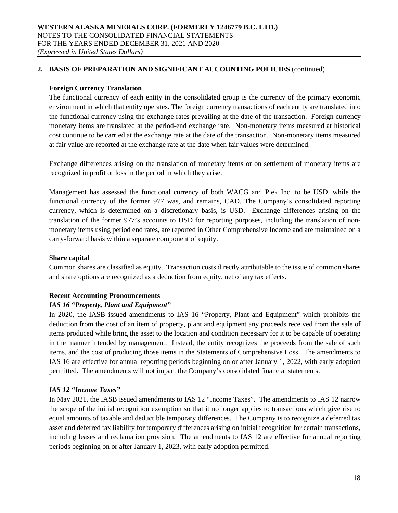### **Foreign Currency Translation**

The functional currency of each entity in the consolidated group is the currency of the primary economic environment in which that entity operates. The foreign currency transactions of each entity are translated into the functional currency using the exchange rates prevailing at the date of the transaction. Foreign currency monetary items are translated at the period-end exchange rate. Non-monetary items measured at historical cost continue to be carried at the exchange rate at the date of the transaction. Non-monetary items measured at fair value are reported at the exchange rate at the date when fair values were determined.

Exchange differences arising on the translation of monetary items or on settlement of monetary items are recognized in profit or loss in the period in which they arise.

Management has assessed the functional currency of both WACG and Piek Inc. to be USD, while the functional currency of the former 977 was, and remains, CAD. The Company's consolidated reporting currency, which is determined on a discretionary basis, is USD. Exchange differences arising on the translation of the former 977's accounts to USD for reporting purposes, including the translation of nonmonetary items using period end rates, are reported in Other Comprehensive Income and are maintained on a carry-forward basis within a separate component of equity.

### **Share capital**

Common shares are classified as equity. Transaction costs directly attributable to the issue of common shares and share options are recognized as a deduction from equity, net of any tax effects.

# **Recent Accounting Pronouncements**

# *IAS 16 "Property, Plant and Equipment"*

In 2020, the IASB issued amendments to IAS 16 "Property, Plant and Equipment" which prohibits the deduction from the cost of an item of property, plant and equipment any proceeds received from the sale of items produced while bring the asset to the location and condition necessary for it to be capable of operating in the manner intended by management. Instead, the entity recognizes the proceeds from the sale of such items, and the cost of producing those items in the Statements of Comprehensive Loss. The amendments to IAS 16 are effective for annual reporting periods beginning on or after January 1, 2022, with early adoption permitted. The amendments will not impact the Company's consolidated financial statements.

# *IAS 12 "Income Taxes"*

In May 2021, the IASB issued amendments to IAS 12 "Income Taxes". The amendments to IAS 12 narrow the scope of the initial recognition exemption so that it no longer applies to transactions which give rise to equal amounts of taxable and deductible temporary differences. The Company is to recognize a deferred tax asset and deferred tax liability for temporary differences arising on initial recognition for certain transactions, including leases and reclamation provision. The amendments to IAS 12 are effective for annual reporting periods beginning on or after January 1, 2023, with early adoption permitted.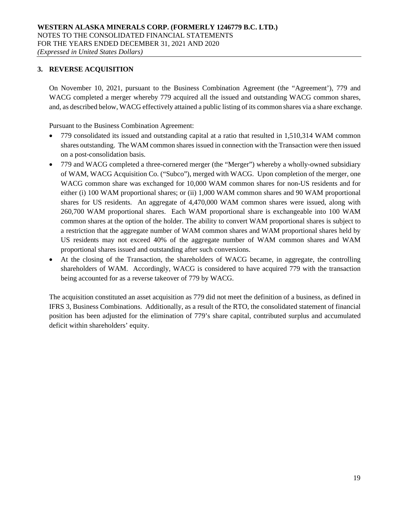# **3. REVERSE ACQUISITION**

On November 10, 2021, pursuant to the Business Combination Agreement (the "Agreement'), 779 and WACG completed a merger whereby 779 acquired all the issued and outstanding WACG common shares, and, as described below, WACG effectively attained a public listing of its common shares via a share exchange.

Pursuant to the Business Combination Agreement:

- 779 consolidated its issued and outstanding capital at a ratio that resulted in 1,510,314 WAM common shares outstanding. The WAM common shares issued in connection with the Transaction were then issued on a post-consolidation basis.
- 779 and WACG completed a three-cornered merger (the "Merger") whereby a wholly-owned subsidiary of WAM, WACG Acquisition Co. ("Subco"), merged with WACG. Upon completion of the merger, one WACG common share was exchanged for 10,000 WAM common shares for non-US residents and for either (i) 100 WAM proportional shares; or (ii) 1,000 WAM common shares and 90 WAM proportional shares for US residents. An aggregate of 4,470,000 WAM common shares were issued, along with 260,700 WAM proportional shares. Each WAM proportional share is exchangeable into 100 WAM common shares at the option of the holder. The ability to convert WAM proportional shares is subject to a restriction that the aggregate number of WAM common shares and WAM proportional shares held by US residents may not exceed 40% of the aggregate number of WAM common shares and WAM proportional shares issued and outstanding after such conversions.
- At the closing of the Transaction, the shareholders of WACG became, in aggregate, the controlling shareholders of WAM. Accordingly, WACG is considered to have acquired 779 with the transaction being accounted for as a reverse takeover of 779 by WACG.

The acquisition constituted an asset acquisition as 779 did not meet the definition of a business, as defined in IFRS 3, Business Combinations. Additionally, as a result of the RTO, the consolidated statement of financial position has been adjusted for the elimination of 779's share capital, contributed surplus and accumulated deficit within shareholders' equity.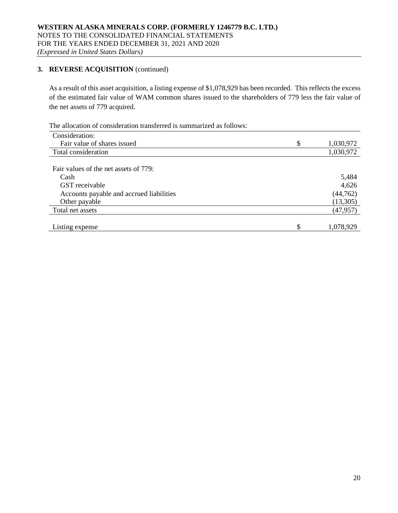# **3. REVERSE ACQUISITION** (continued)

As a result of this asset acquisition, a listing expense of \$1,078,929 has been recorded. This reflects the excess of the estimated fair value of WAM common shares issued to the shareholders of 779 less the fair value of the net assets of 779 acquired.

The allocation of consideration transferred is summarized as follows:

| Consideration:                           |                 |
|------------------------------------------|-----------------|
| Fair value of shares issued              | \$<br>1,030,972 |
| Total consideration                      | 1,030,972       |
|                                          |                 |
| Fair values of the net assets of 779:    |                 |
| Cash                                     | 5,484           |
| GST receivable                           | 4,626           |
| Accounts payable and accrued liabilities | (44, 762)       |
| Other payable                            | (13,305)        |
| Total net assets                         | (47, 957)       |
|                                          |                 |
| Listing expense                          | \$<br>1,078,929 |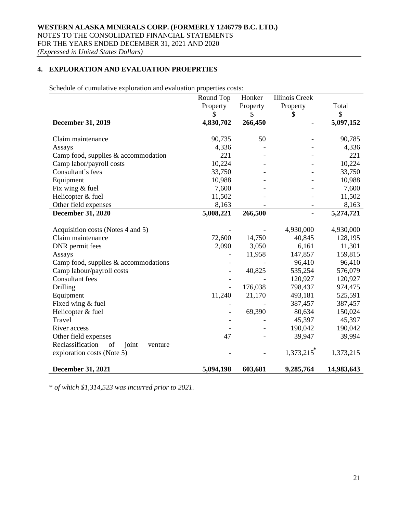# **4. EXPLORATION AND EVALUATION PROEPRTIES**

Schedule of cumulative exploration and evaluation properties costs:

|                                            | Round Top                | Honker   | <b>Illinois Creek</b> |                 |
|--------------------------------------------|--------------------------|----------|-----------------------|-----------------|
|                                            | Property                 | Property | Property              | Total           |
|                                            | \$                       | \$       | \$                    | \$              |
| <b>December 31, 2019</b>                   | 4,830,702                | 266,450  |                       | 5,097,152       |
| Claim maintenance                          | 90,735                   | 50       |                       | 90,785          |
| Assays                                     | 4,336                    |          |                       | 4,336           |
| Camp food, supplies & accommodation        | 221                      |          |                       | 221             |
| Camp labor/payroll costs                   | 10,224                   |          |                       | 10,224          |
| Consultant's fees                          | 33,750                   |          |                       | 33,750          |
|                                            | 10,988                   |          |                       |                 |
| Equipment                                  | 7,600                    |          |                       | 10,988<br>7,600 |
| Fix wing & fuel                            | 11,502                   |          |                       |                 |
| Helicopter & fuel                          |                          |          |                       | 11,502          |
| Other field expenses                       | 8,163                    |          |                       | 8,163           |
| <b>December 31, 2020</b>                   | 5,008,221                | 266,500  | $\blacksquare$        | 5,274,721       |
| Acquisition costs (Notes 4 and 5)          |                          |          | 4,930,000             | 4,930,000       |
| Claim maintenance                          | 72,600                   | 14,750   | 40,845                | 128,195         |
| DNR permit fees                            | 2,090                    | 3,050    | 6,161                 | 11,301          |
| Assays                                     |                          | 11,958   | 147,857               | 159,815         |
| Camp food, supplies & accommodations       |                          |          | 96,410                | 96,410          |
| Camp labour/payroll costs                  | $\overline{\phantom{0}}$ | 40,825   | 535,254               | 576,079         |
| <b>Consultant</b> fees                     |                          |          | 120,927               | 120,927         |
| Drilling                                   |                          | 176,038  | 798,437               | 974,475         |
| Equipment                                  | 11,240                   | 21,170   | 493,181               | 525,591         |
| Fixed wing & fuel                          |                          |          | 387,457               | 387,457         |
| Helicopter & fuel                          | $\overline{\phantom{0}}$ | 69,390   | 80,634                | 150,024         |
| Travel                                     |                          |          | 45,397                | 45,397          |
| River access                               |                          |          | 190,042               | 190,042         |
| Other field expenses                       | 47                       |          | 39,947                | 39,994          |
| Reclassification<br>joint<br>of<br>venture |                          |          |                       |                 |
| exploration costs (Note 5)                 |                          |          | $1,373,215$ *         | 1,373,215       |
|                                            |                          |          |                       |                 |
| <b>December 31, 2021</b>                   | 5,094,198                | 603,681  | 9,285,764             | 14,983,643      |

\* *of which \$1,314,523 was incurred prior to 2021.*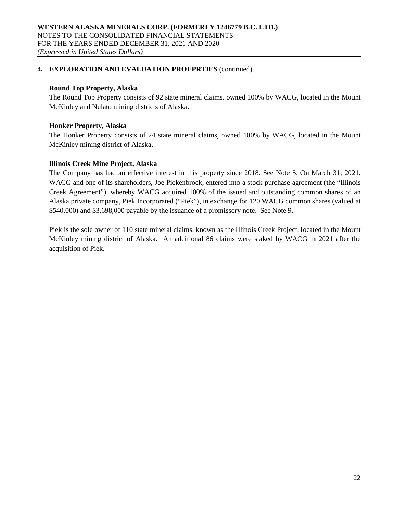# **4. EXPLORATION AND EVALUATION PROEPRTIES** (continued)

# **Round Top Property, Alaska**

The Round Top Property consists of 92 state mineral claims, owned 100% by WACG, located in the Mount McKinley and Nulato mining districts of Alaska.

# **Honker Property, Alaska**

The Honker Property consists of 24 state mineral claims, owned 100% by WACG, located in the Mount McKinley mining district of Alaska.

# **Illinois Creek Mine Project, Alaska**

The Company has had an effective interest in this property since 2018. See Note 5. On March 31, 2021, WACG and one of its shareholders, Joe Piekenbrock, entered into a stock purchase agreement (the "Illinois") Creek Agreement"), whereby WACG acquired 100% of the issued and outstanding common shares of an Alaska private company, Piek Incorporated ("Piek"), in exchange for 120 WACG common shares (valued at \$540,000) and \$3,698,000 payable by the issuance of a promissory note. See Note 9.

Piek is the sole owner of 110 state mineral claims, known as the Illinois Creek Project, located in the Mount McKinley mining district of Alaska. An additional 86 claims were staked by WACG in 2021 after the acquisition of Piek.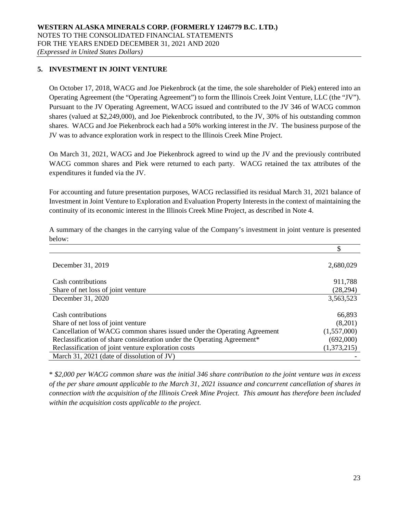# **5. INVESTMENT IN JOINT VENTURE**

On October 17, 2018, WACG and Joe Piekenbrock (at the time, the sole shareholder of Piek) entered into an Operating Agreement (the "Operating Agreement") to form the Illinois Creek Joint Venture, LLC (the "JV"). Pursuant to the JV Operating Agreement, WACG issued and contributed to the JV 346 of WACG common shares (valued at \$2,249,000), and Joe Piekenbrock contributed, to the JV, 30% of his outstanding common shares. WACG and Joe Piekenbrock each had a 50% working interest in the JV. The business purpose of the JV was to advance exploration work in respect to the Illinois Creek Mine Project.

On March 31, 2021, WACG and Joe Piekenbrock agreed to wind up the JV and the previously contributed WACG common shares and Piek were returned to each party. WACG retained the tax attributes of the expenditures it funded via the JV.

For accounting and future presentation purposes, WACG reclassified its residual March 31, 2021 balance of Investment in Joint Venture to Exploration and Evaluation Property Interests in the context of maintaining the continuity of its economic interest in the Illinois Creek Mine Project, as described in Note 4.

 \$ December 31, 2019 2,680,029 Cash contributions 911,788 Share of net loss of joint venture (28,294)

December 31, 2020 3,563,523

A summary of the changes in the carrying value of the Company's investment in joint venture is presented below:

| Cash contributions                                                      | 66,893      |
|-------------------------------------------------------------------------|-------------|
| Share of net loss of joint venture                                      | (8,201)     |
| Cancellation of WACG common shares issued under the Operating Agreement | (1,557,000) |
| Reclassification of share consideration under the Operating Agreement*  | (692,000)   |
| Reclassification of joint venture exploration costs                     | (1,373,215) |
| March 31, 2021 (date of dissolution of JV)                              |             |
|                                                                         |             |

\* *\$2,000 per WACG common share was the initial 346 share contribution to the joint venture was in excess of the per share amount applicable to the March 31, 2021 issuance and concurrent cancellation of shares in connection with the acquisition of the Illinois Creek Mine Project. This amount has therefore been included within the acquisition costs applicable to the project.*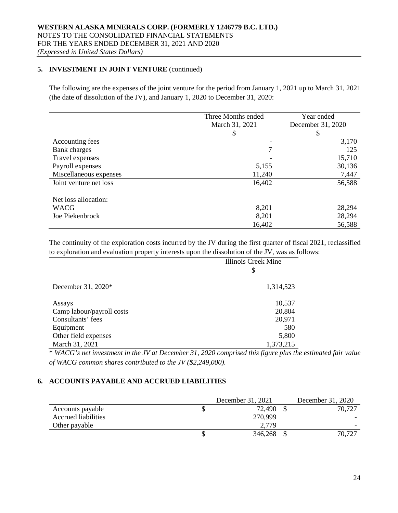# **5. INVESTMENT IN JOINT VENTURE** (continued)

The following are the expenses of the joint venture for the period from January 1, 2021 up to March 31, 2021 (the date of dissolution of the JV), and January 1, 2020 to December 31, 2020:

|                                     | Three Months ended<br>March 31, 2021 | Year ended<br>December 31, 2020 |
|-------------------------------------|--------------------------------------|---------------------------------|
|                                     | \$                                   | \$                              |
| Accounting fees                     |                                      | 3,170                           |
| Bank charges                        | 7                                    | 125                             |
| Travel expenses                     |                                      | 15,710                          |
| Payroll expenses                    | 5,155                                | 30,136                          |
| Miscellaneous expenses              | 11,240                               | 7,447                           |
| Joint venture net loss              | 16,402                               | 56,588                          |
| Net loss allocation:<br><b>WACG</b> | 8,201                                | 28,294                          |
| Joe Piekenbrock                     | 8,201                                | 28,294                          |
|                                     | 16,402                               | 56,588                          |

The continuity of the exploration costs incurred by the JV during the first quarter of fiscal 2021, reclassified to exploration and evaluation property interests upon the dissolution of the JV, was as follows:

|                           | Illinois Creek Mine |  |
|---------------------------|---------------------|--|
|                           | \$                  |  |
| December 31, 2020*        | 1,314,523           |  |
| Assays                    | 10,537              |  |
| Camp labour/payroll costs | 20,804              |  |
| Consultants' fees         | 20,971              |  |
| Equipment                 | 580                 |  |
| Other field expenses      | 5,800               |  |
| March 31, 2021            | 1,373,215           |  |

\* *WACG's net investment in the JV at December 31, 2020 comprised this figure plus the estimated fair value of WACG common shares contributed to the JV (\$2,249,000).* 

# **6. ACCOUNTS PAYABLE AND ACCRUED LIABILITIES**

|                     | December 31, 2021 | December 31, 2020 |
|---------------------|-------------------|-------------------|
| Accounts payable    | 72,490            | 70,727            |
| Accrued liabilities | 270,999           |                   |
| Other payable       | 2,779             |                   |
|                     | 346,268           | 70.727            |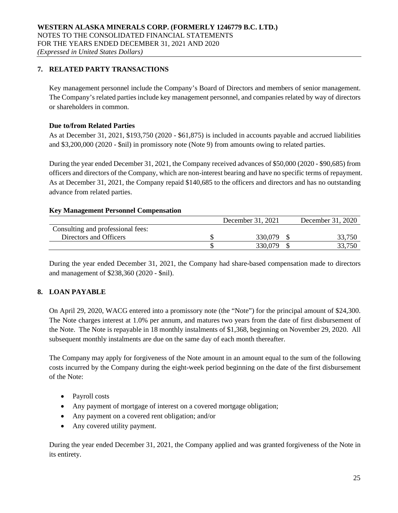# **7. RELATED PARTY TRANSACTIONS**

Key management personnel include the Company's Board of Directors and members of senior management. The Company's related parties include key management personnel, and companies related by way of directors or shareholders in common.

# **Due to/from Related Parties**

As at December 31, 2021, \$193,750 (2020 - \$61,875) is included in accounts payable and accrued liabilities and \$3,200,000 (2020 - \$nil) in promissory note (Note 9) from amounts owing to related parties.

During the year ended December 31, 2021, the Company received advances of \$50,000 (2020 - \$90,685) from officers and directors of the Company, which are non-interest bearing and have no specific terms of repayment. As at December 31, 2021, the Company repaid \$140,685 to the officers and directors and has no outstanding advance from related parties.

# **Key Management Personnel Compensation**

|                                   | December 31, 2021 | December 31, 2020 |
|-----------------------------------|-------------------|-------------------|
| Consulting and professional fees: |                   |                   |
| Directors and Officers            | 330,079           | วว ฯ ะ เ          |
|                                   | 330,079           |                   |

During the year ended December 31, 2021, the Company had share-based compensation made to directors and management of \$238,360 (2020 - \$nil).

# **8. LOAN PAYABLE**

On April 29, 2020, WACG entered into a promissory note (the "Note") for the principal amount of \$24,300. The Note charges interest at 1.0% per annum, and matures two years from the date of first disbursement of the Note. The Note is repayable in 18 monthly instalments of \$1,368, beginning on November 29, 2020. All subsequent monthly instalments are due on the same day of each month thereafter.

The Company may apply for forgiveness of the Note amount in an amount equal to the sum of the following costs incurred by the Company during the eight-week period beginning on the date of the first disbursement of the Note:

- Payroll costs
- Any payment of mortgage of interest on a covered mortgage obligation;
- Any payment on a covered rent obligation; and/or
- Any covered utility payment.

During the year ended December 31, 2021, the Company applied and was granted forgiveness of the Note in its entirety.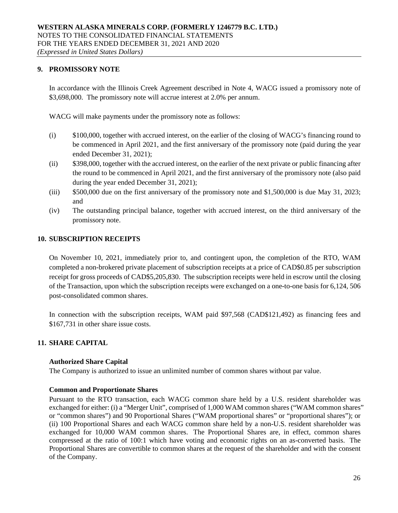# **9. PROMISSORY NOTE**

In accordance with the Illinois Creek Agreement described in Note 4, WACG issued a promissory note of \$3,698,000. The promissory note will accrue interest at 2.0% per annum.

WACG will make payments under the promissory note as follows:

- (i) \$100,000, together with accrued interest, on the earlier of the closing of WACG's financing round to be commenced in April 2021, and the first anniversary of the promissory note (paid during the year ended December 31, 2021);
- (ii) \$398,000, together with the accrued interest, on the earlier of the next private or public financing after the round to be commenced in April 2021, and the first anniversary of the promissory note (also paid during the year ended December 31, 2021);
- (iii) \$500,000 due on the first anniversary of the promissory note and \$1,500,000 is due May 31, 2023; and
- (iv) The outstanding principal balance, together with accrued interest, on the third anniversary of the promissory note.

# **10. SUBSCRIPTION RECEIPTS**

On November 10, 2021, immediately prior to, and contingent upon, the completion of the RTO, WAM completed a non-brokered private placement of subscription receipts at a price of CAD\$0.85 per subscription receipt for gross proceeds of CAD\$5,205,830. The subscription receipts were held in escrow until the closing of the Transaction, upon which the subscription receipts were exchanged on a one-to-one basis for 6,124, 506 post-consolidated common shares.

In connection with the subscription receipts, WAM paid \$97,568 (CAD\$121,492) as financing fees and \$167,731 in other share issue costs.

# **11. SHARE CAPITAL**

# **Authorized Share Capital**

The Company is authorized to issue an unlimited number of common shares without par value.

# **Common and Proportionate Shares**

Pursuant to the RTO transaction, each WACG common share held by a U.S. resident shareholder was exchanged for either: (i) a "Merger Unit", comprised of 1,000 WAM common shares ("WAM common shares" or "common shares") and 90 Proportional Shares ("WAM proportional shares" or "proportional shares"); or (ii) 100 Proportional Shares and each WACG common share held by a non-U.S. resident shareholder was exchanged for 10,000 WAM common shares. The Proportional Shares are, in effect, common shares compressed at the ratio of 100:1 which have voting and economic rights on an as-converted basis. The Proportional Shares are convertible to common shares at the request of the shareholder and with the consent of the Company.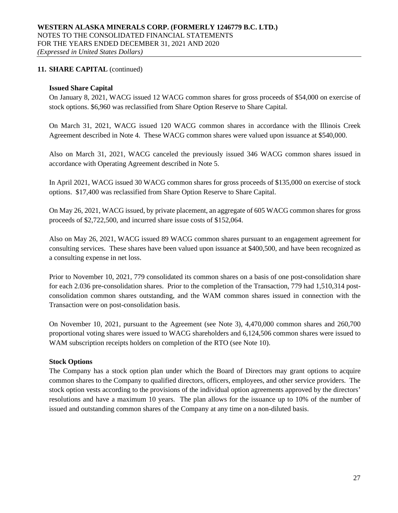# **11. SHARE CAPITAL** (continued)

# **Issued Share Capital**

On January 8, 2021, WACG issued 12 WACG common shares for gross proceeds of \$54,000 on exercise of stock options. \$6,960 was reclassified from Share Option Reserve to Share Capital.

On March 31, 2021, WACG issued 120 WACG common shares in accordance with the Illinois Creek Agreement described in Note 4. These WACG common shares were valued upon issuance at \$540,000.

Also on March 31, 2021, WACG canceled the previously issued 346 WACG common shares issued in accordance with Operating Agreement described in Note 5.

In April 2021, WACG issued 30 WACG common shares for gross proceeds of \$135,000 on exercise of stock options. \$17,400 was reclassified from Share Option Reserve to Share Capital.

On May 26, 2021, WACG issued, by private placement, an aggregate of 605 WACG common shares for gross proceeds of \$2,722,500, and incurred share issue costs of \$152,064.

Also on May 26, 2021, WACG issued 89 WACG common shares pursuant to an engagement agreement for consulting services. These shares have been valued upon issuance at \$400,500, and have been recognized as a consulting expense in net loss.

Prior to November 10, 2021, 779 consolidated its common shares on a basis of one post-consolidation share for each 2.036 pre-consolidation shares. Prior to the completion of the Transaction, 779 had 1,510,314 postconsolidation common shares outstanding, and the WAM common shares issued in connection with the Transaction were on post-consolidation basis.

On November 10, 2021, pursuant to the Agreement (see Note 3), 4,470,000 common shares and 260,700 proportional voting shares were issued to WACG shareholders and 6,124,506 common shares were issued to WAM subscription receipts holders on completion of the RTO (see Note 10).

# **Stock Options**

The Company has a stock option plan under which the Board of Directors may grant options to acquire common shares to the Company to qualified directors, officers, employees, and other service providers. The stock option vests according to the provisions of the individual option agreements approved by the directors' resolutions and have a maximum 10 years. The plan allows for the issuance up to 10% of the number of issued and outstanding common shares of the Company at any time on a non-diluted basis.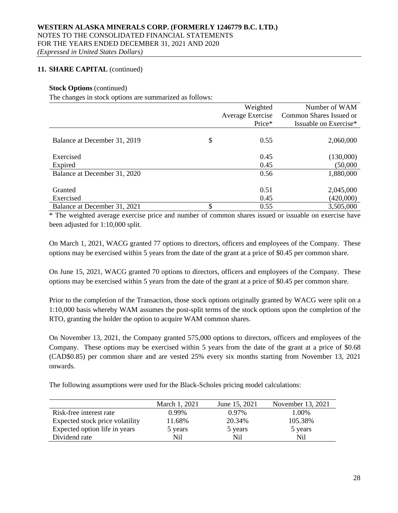# **11. SHARE CAPITAL** (continued)

#### **Stock Options** (continued)

The changes in stock options are summarized as follows:

|                              | Weighted         | Number of WAM           |
|------------------------------|------------------|-------------------------|
|                              | Average Exercise | Common Shares Issued or |
|                              | Price*           | Issuable on Exercise*   |
| Balance at December 31, 2019 | \$<br>0.55       | 2,060,000               |
| Exercised                    | 0.45             | (130,000)               |
| Expired                      | 0.45             | (50,000)                |
| Balance at December 31, 2020 | 0.56             | 1,880,000               |
| Granted                      | 0.51             | 2,045,000               |
| Exercised                    | 0.45             | (420,000)               |
| Balance at December 31, 2021 | \$<br>0.55       | 3,505,000               |

\* The weighted average exercise price and number of common shares issued or issuable on exercise have been adjusted for 1:10,000 split.

On March 1, 2021, WACG granted 77 options to directors, officers and employees of the Company. These options may be exercised within 5 years from the date of the grant at a price of \$0.45 per common share.

On June 15, 2021, WACG granted 70 options to directors, officers and employees of the Company. These options may be exercised within 5 years from the date of the grant at a price of \$0.45 per common share.

Prior to the completion of the Transaction, those stock options originally granted by WACG were split on a 1:10,000 basis whereby WAM assumes the post-split terms of the stock options upon the completion of the RTO, granting the holder the option to acquire WAM common shares.

On November 13, 2021, the Company granted 575,000 options to directors, officers and employees of the Company. These options may be exercised within 5 years from the date of the grant at a price of \$0.68 (CAD\$0.85) per common share and are vested 25% every six months starting from November 13, 2021 onwards.

The following assumptions were used for the Black-Scholes pricing model calculations:

|                                 | March 1, 2021 | June 15, 2021 | November 13, 2021 |
|---------------------------------|---------------|---------------|-------------------|
| Risk-free interest rate         | 0.99%         | 0.97%         | 1.00%             |
| Expected stock price volatility | 11.68%        | 20.34%        | 105.38%           |
| Expected option life in years   | 5 years       | 5 years       | 5 years           |
| Dividend rate                   | Ni1           | Ni1           | Nil               |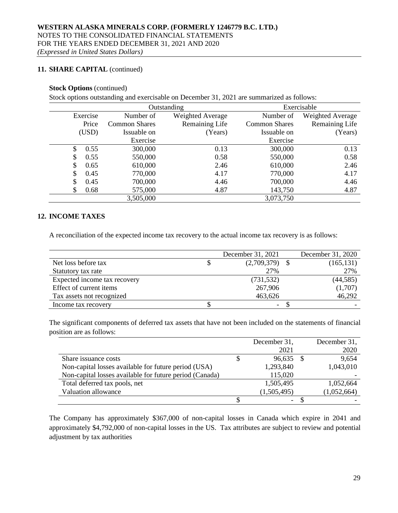# **11. SHARE CAPITAL** (continued)

### **Stock Options** (continued)

Stock options outstanding and exercisable on December 31, 2021 are summarized as follows:

|            | Outstanding          |                  |                      | Exercisable      |  |
|------------|----------------------|------------------|----------------------|------------------|--|
| Exercise   | Number of            | Weighted Average | Number of            | Weighted Average |  |
| Price      | <b>Common Shares</b> | Remaining Life   | <b>Common Shares</b> | Remaining Life   |  |
| (USD)      | Issuable on          | (Years)          | Issuable on          | (Years)          |  |
|            | Exercise             |                  | Exercise             |                  |  |
| \$<br>0.55 | 300,000              | 0.13             | 300,000              | 0.13             |  |
| \$<br>0.55 | 550,000              | 0.58             | 550,000              | 0.58             |  |
| \$<br>0.65 | 610,000              | 2.46             | 610,000              | 2.46             |  |
| \$<br>0.45 | 770,000              | 4.17             | 770,000              | 4.17             |  |
| \$<br>0.45 | 700,000              | 4.46             | 700,000              | 4.46             |  |
| \$<br>0.68 | 575,000              | 4.87             | 143,750              | 4.87             |  |
|            | 3,505,000            |                  | 3,073,750            |                  |  |

### **12. INCOME TAXES**

A reconciliation of the expected income tax recovery to the actual income tax recovery is as follows:

|                              |   | December 31, 2021        | December 31, 2020 |
|------------------------------|---|--------------------------|-------------------|
| Net loss before tax          | S | $(2,709,379)$ \$         | (165, 131)        |
| Statutory tax rate           |   | 27%                      | 27%               |
| Expected income tax recovery |   | (731, 532)               | (44, 585)         |
| Effect of current items      |   | 267,906                  | (1,707)           |
| Tax assets not recognized    |   | 463,626                  | 46,292            |
| Income tax recovery          |   | $\overline{\phantom{a}}$ |                   |

The significant components of deferred tax assets that have not been included on the statements of financial position are as follows:

|                                                         |   | December 31, | December 31, |
|---------------------------------------------------------|---|--------------|--------------|
|                                                         |   | 2021         | 2020         |
| Share issuance costs                                    | 2 | 96,635 \$    | 9,654        |
| Non-capital losses available for future period (USA)    |   | 1,293,840    | 1,043,010    |
| Non-capital losses available for future period (Canada) |   | 115,020      |              |
| Total deferred tax pools, net                           |   | 1,505,495    | 1,052,664    |
| Valuation allowance                                     |   | (1,505,495)  | (1,052,664)  |
|                                                         |   |              |              |

The Company has approximately \$367,000 of non-capital losses in Canada which expire in 2041 and approximately \$4,792,000 of non-capital losses in the US. Tax attributes are subject to review and potential adjustment by tax authorities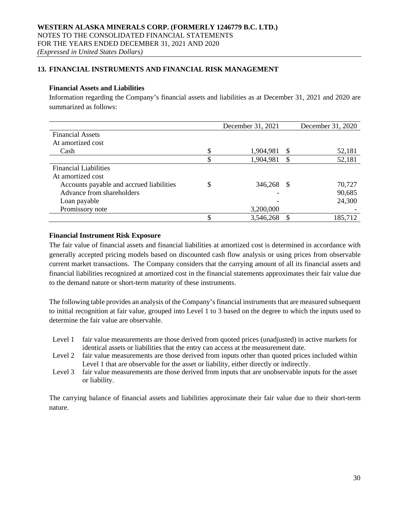# **13. FINANCIAL INSTRUMENTS AND FINANCIAL RISK MANAGEMENT**

# **Financial Assets and Liabilities**

Information regarding the Company's financial assets and liabilities as at December 31, 2021 and 2020 are summarized as follows:

|                                          |    | December 31, 2021 | December 31, 2020 |
|------------------------------------------|----|-------------------|-------------------|
| <b>Financial Assets</b>                  |    |                   |                   |
| At amortized cost                        |    |                   |                   |
| Cash                                     | \$ | 1,904,981         | 52,181            |
|                                          | \$ | 1,904,981         | 52,181            |
| <b>Financial Liabilities</b>             |    |                   |                   |
| At amortized cost                        |    |                   |                   |
| Accounts payable and accrued liabilities | \$ | 346,268 \$        | 70,727            |
| Advance from shareholders                |    |                   | 90,685            |
| Loan payable                             |    |                   | 24,300            |
| Promissory note                          |    | 3,200,000         |                   |
|                                          | S  | 3,546,268         | 185,712           |

# **Financial Instrument Risk Exposure**

The fair value of financial assets and financial liabilities at amortized cost is determined in accordance with generally accepted pricing models based on discounted cash flow analysis or using prices from observable current market transactions. The Company considers that the carrying amount of all its financial assets and financial liabilities recognized at amortized cost in the financial statements approximates their fair value due to the demand nature or short-term maturity of these instruments.

The following table provides an analysis of the Company's financial instruments that are measured subsequent to initial recognition at fair value, grouped into Level 1 to 3 based on the degree to which the inputs used to determine the fair value are observable.

- Level 1 fair value measurements are those derived from quoted prices (unadjusted) in active markets for identical assets or liabilities that the entry can access at the measurement date.
- Level 2 fair value measurements are those derived from inputs other than quoted prices included within Level 1 that are observable for the asset or liability, either directly or indirectly.
- Level 3 fair value measurements are those derived from inputs that are unobservable inputs for the asset or liability.

The carrying balance of financial assets and liabilities approximate their fair value due to their short-term nature.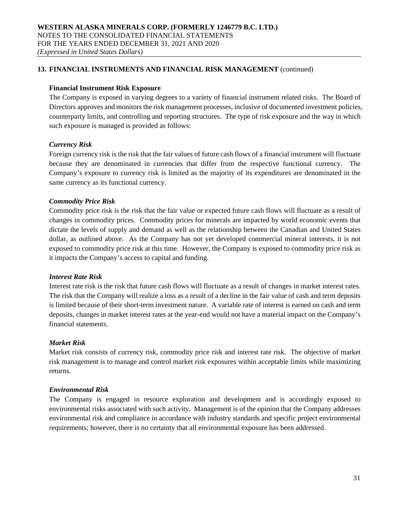# **13. FINANCIAL INSTRUMENTS AND FINANCIAL RISK MANAGEMENT** (continued)

# **Financial Instrument Risk Exposure**

The Company is exposed in varying degrees to a variety of financial instrument related risks. The Board of Directors approves and monitors the risk management processes, inclusive of documented investment policies, counterparty limits, and controlling and reporting structures. The type of risk exposure and the way in which such exposure is managed is provided as follows:

# *Currency Risk*

Foreign currency risk is the risk that the fair values of future cash flows of a financial instrument will fluctuate because they are denominated in currencies that differ from the respective functional currency. The Company's exposure to currency risk is limited as the majority of its expenditures are denominated in the same currency as its functional currency.

# *Commodity Price Risk*

Commodity price risk is the risk that the fair value or expected future cash flows will fluctuate as a result of changes in commodity prices. Commodity prices for minerals are impacted by world economic events that dictate the levels of supply and demand as well as the relationship between the Canadian and United States dollar, as outlined above. As the Company has not yet developed commercial mineral interests, it is not exposed to commodity price risk at this time. However, the Company is exposed to commodity price risk as it impacts the Company's access to capital and funding.

# *Interest Rate Risk*

Interest rate risk is the risk that future cash flows will fluctuate as a result of changes in market interest rates. The risk that the Company will realize a loss as a result of a decline in the fair value of cash and term deposits is limited because of their short-term investment nature. A variable rate of interest is earned on cash and term deposits, changes in market interest rates at the year-end would not have a material impact on the Company's financial statements.

# *Market Risk*

Market risk consists of currency risk, commodity price risk and interest rate risk. The objective of market risk management is to manage and control market risk exposures within acceptable limits while maximizing returns.

# *Environmental Risk*

The Company is engaged in resource exploration and development and is accordingly exposed to environmental risks associated with such activity. Management is of the opinion that the Company addresses environmental risk and compliance in accordance with industry standards and specific project environmental requirements; however, there is no certainty that all environmental exposure has been addressed.